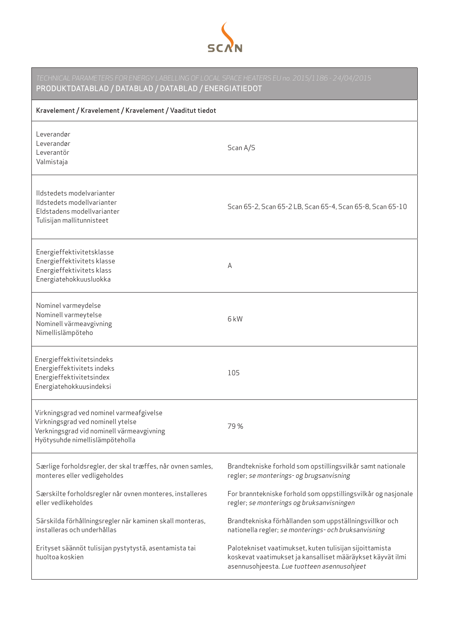

| TECHNICAL PARAMETERS FOR ENERGY LABELLING OF LOCAL SPACE HEATERS EU no. 2015/1186 - 24/04/2015<br>PRODUKTDATABLAD / DATABLAD / DATABLAD / ENERGIATIEDOT       |                                                                                                                                                                      |  |
|---------------------------------------------------------------------------------------------------------------------------------------------------------------|----------------------------------------------------------------------------------------------------------------------------------------------------------------------|--|
| Kravelement / Kravelement / Kravelement / Vaaditut tiedot                                                                                                     |                                                                                                                                                                      |  |
| Leverandør<br>Leverandør<br>Leverantör<br>Valmistaja                                                                                                          | Scan A/S                                                                                                                                                             |  |
| Ildstedets modelvarianter<br>Ildstedets modellvarianter<br>Eldstadens modellvarianter<br>Tulisijan mallitunnisteet                                            | Scan 65-2, Scan 65-2 LB, Scan 65-4, Scan 65-8, Scan 65-10                                                                                                            |  |
| Energieffektivitetsklasse<br>Energieffektivitets klasse<br>Energieffektivitets klass<br>Energiatehokkuusluokka                                                | A                                                                                                                                                                    |  |
| Nominel varmeydelse<br>Nominell varmeytelse<br>Nominell värmeavgivning<br>Nimellislämpöteho                                                                   | 6 <sub>k</sub> W                                                                                                                                                     |  |
| Energieffektivitetsindeks<br>Energieffektivitets indeks<br>Energieffektivitetsindex<br>Energiatehokkuusindeksi                                                | 105                                                                                                                                                                  |  |
| Virkningsgrad ved nominel varmeafgivelse<br>Virkningsgrad ved nominell ytelse<br>Verkningsgrad vid nominell värmeavgivning<br>Hyötysuhde nimellislämpöteholla | 79%                                                                                                                                                                  |  |
| Særlige forholdsregler, der skal træffes, når ovnen samles,<br>monteres eller vedligeholdes                                                                   | Brandtekniske forhold som opstillingsvilkår samt nationale<br>regler; se monterings- og brugsanvisning                                                               |  |
| Særskilte forholdsregler når ovnen monteres, installeres<br>eller vedlikeholdes                                                                               | For branntekniske forhold som oppstillingsvilkår og nasjonale<br>regler; se monterings og bruksanvisningen                                                           |  |
| Särskilda förhållningsregler när kaminen skall monteras,<br>installeras och underhållas                                                                       | Brandtekniska förhållanden som uppställningsvillkor och<br>nationella regler; se monterings- och bruksanvisning                                                      |  |
| Erityset säännöt tulisijan pystytystä, asentamista tai<br>huoltoa koskien                                                                                     | Palotekniset vaatimukset, kuten tulisijan sijoittamista<br>koskevat vaatimukset ja kansalliset määräykset käyvät ilmi<br>asennusohjeesta. Lue tuotteen asennusohjeet |  |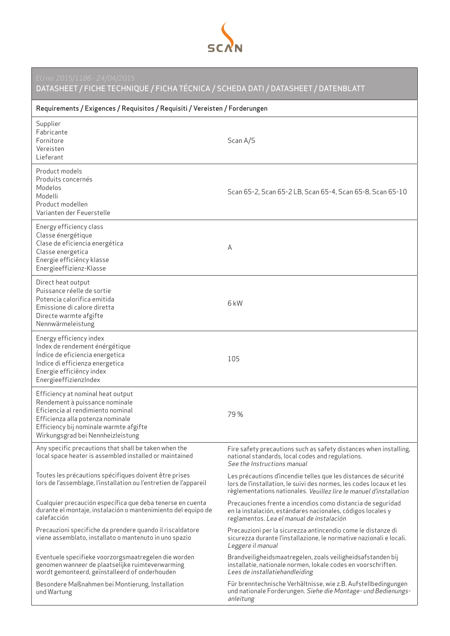

DATASHEET / FICHE TECHNIQUE / FICHA TÉCNICA / SCHEDA DATI / DATASHEET / DATENBLATT

| Requirements / Exigences / Requisitos / Requisiti / Vereisten / Forderungen                                                                                                                                                 |                                                                                                                                                                                                               |  |
|-----------------------------------------------------------------------------------------------------------------------------------------------------------------------------------------------------------------------------|---------------------------------------------------------------------------------------------------------------------------------------------------------------------------------------------------------------|--|
| Supplier<br>Fabricante<br>Fornitore<br>Vereisten<br>Lieferant                                                                                                                                                               | Scan A/S                                                                                                                                                                                                      |  |
| Product models<br>Produits concernés<br>Modelos<br>Modelli<br>Product modellen<br>Varianten der Feuerstelle                                                                                                                 | Scan 65-2, Scan 65-2 LB, Scan 65-4, Scan 65-8, Scan 65-10                                                                                                                                                     |  |
| Energy efficiency class<br>Classe énergétique<br>Clase de eficiencia energética<br>Classe energetica<br>Energie efficiëncy klasse<br>Energieeffizienz-Klasse                                                                | А                                                                                                                                                                                                             |  |
| Direct heat output<br>Puissance réelle de sortie<br>Potencia calorifica emitida<br>Emissione di calore diretta<br>Directe warmte afgifte<br>Nennwärmeleistung                                                               | 6 <sub>k</sub> W                                                                                                                                                                                              |  |
| Energy efficiency index<br>Index de rendement énérgétique<br>Índice de eficiencia energetica<br>Indice di efficienza energetica<br>Energie efficiëncy index<br>EnergieeffizienzIndex                                        | 105                                                                                                                                                                                                           |  |
| Efficiency at nominal heat output<br>Rendement à puissance nominale<br>Eficiencia al rendimiento nominal<br>Efficienza alla potenza nominale<br>Efficiency bij nominale warmte afgifte<br>Wirkungsgrad bei Nennheizleistung | 79%                                                                                                                                                                                                           |  |
| Any specific precautions that shall be taken when the<br>local space heater is assembled installed or maintained                                                                                                            | Fire safety precautions such as safety distances when installing,<br>national standards, local codes and regulations.<br>See the Instructions manual                                                          |  |
| Toutes les précautions spécifiques doivent être prises<br>lors de l'assemblage, l'installation ou l'entretien de l'appareil                                                                                                 | Les précautions d'incendie telles que les distances de sécurité<br>lors de l'installation, le suivi des normes, les codes locaux et les<br>règlementations nationales. Veuillez lire le manuel d'installation |  |
| Cualquier precaución específica que deba tenerse en cuenta<br>durante el montaje, instalación o mantenimiento del equipo de<br>calefacción                                                                                  | Precauciones frente a incendios como distancia de seguridad<br>en la instalación, estándares nacionales, códigos locales y<br>reglamentos. Lea el manual de instalación                                       |  |
| Precauzioni specifiche da prendere quando il riscaldatore<br>viene assemblato, installato o mantenuto in uno spazio                                                                                                         | Precauzioni per la sicurezza antincendio come le distanze di<br>sicurezza durante l'installazione, le normative nazionali e locali.<br>Leggere il manual                                                      |  |
| Eventuele specifieke voorzorgsmaatregelen die worden<br>genomen wanneer de plaatselijke ruimteverwarming<br>wordt gemonteerd, geïnstalleerd of onderhouden                                                                  | Brandveiligheidsmaatregelen, zoals veiligheidsafstanden bij<br>installatie, nationale normen, lokale codes en voorschriften.<br>Lees de installatiehandleiding                                                |  |
| Besondere Maßnahmen bei Montierung, Installation<br>und Wartung                                                                                                                                                             | Für brenntechnische Verhältnisse, wie z.B. Aufstellbedingungen<br>und nationale Forderungen. Siehe die Montage- und Bedienungs-<br>anleitung                                                                  |  |